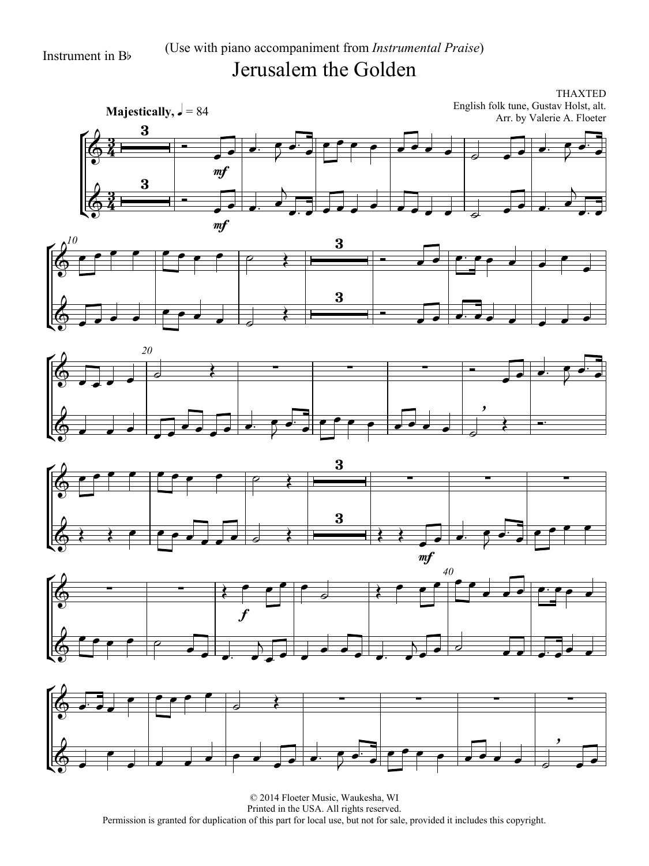## Instrument in B<sup>b</sup> (Use with piano accompaniment from *Instrumental Praise*) Jerusalem the Golden

<u>3</u>  $\frac{3}{4}$ <u>3</u>  $\frac{3}{4}$ **Majestically,**  $\sqrt{ } = 84$ THAXTED English folk tune, Gustav Holst, alt. Arr. by Valerie A. Floeter  $\mathsf{K}$ Ľ  $\Phi$  $\begin{array}{c|c}\n3 & \rightarrow \\
\hline\n\end{array}$ mf  $\overrightarrow{e}$  $\overrightarrow{z}$  $\begin{array}{|c|c|c|c|c|c|c|c|c|}\hline \rule{0pt}{1ex} \multicolumn{2}{c|}{\textbf{1}} & \multicolumn{2}{c|}{\textbf{2}} & \multicolumn{2}{c|}{\textbf{3}} & \multicolumn{2}{c|}{\textbf{4}} & \multicolumn{2}{c|}{\textbf{5}} & \multicolumn{2}{c|}{\textbf{6}} & \multicolumn{2}{c|}{\textbf{7}} & \multicolumn{2}{c|}{\textbf{8}} & \multicolumn{2}{c|}{\textbf{9}} & \multicolumn{2}{c|}{\textbf{1}} & \multicolumn{2}{c|}{\textbf{$  $\overrightarrow{e}$  $\Phi$  $\begin{array}{c|c} 3 & \phantom{0} & \phantom{0} \\ \hline & \phantom{0} & \phantom{0} \\ \hline & \phantom{0} & \phantom{0} \\ \end{array}$ mf  $\overrightarrow{a}$  $\overline{b}$  $\overline{a}$  and  $\overline{a}$  and  $\overline{a}$  and  $\overline{a}$  and  $\overline{a}$  and  $\overline{a}$  and  $\overline{a}$  $\overline{a}$  $\overline{\phantom{a}}$ 











© 2014 Floeter Music, Waukesha, WI Printed in the USA. All rights reserved. Permission is granted for duplication of this part for local use, but not for sale, provided it includes this copyright.